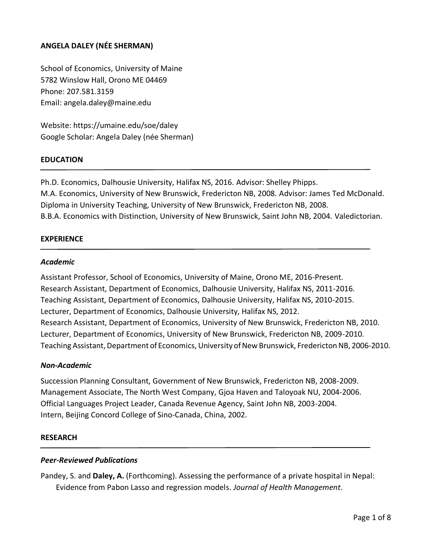# **ANGELA DALEY (NÉE SHERMAN)**

School of Economics, University of Maine 5782 Winslow Hall, Orono ME 04469 Phone: 207.581.3159 Email: angela.daley@maine.edu

Website: https://umaine.edu/soe/daley Google Scholar: Angela Daley (née Sherman)

### **EDUCATION**

Ph.D. Economics, Dalhousie University, Halifax NS, 2016. Advisor: Shelley Phipps. M.A. Economics, University of New Brunswick, Fredericton NB, 2008. Advisor: James Ted McDonald. Diploma in University Teaching, University of New Brunswick, Fredericton NB, 2008. B.B.A. Economics with Distinction, University of New Brunswick, Saint John NB, 2004. Valedictorian.

### **EXPERIENCE**

#### *Academic*

Assistant Professor, School of Economics, University of Maine, Orono ME, 2016-Present. Research Assistant, Department of Economics, Dalhousie University, Halifax NS, 2011-2016. Teaching Assistant, Department of Economics, Dalhousie University, Halifax NS, 2010-2015. Lecturer, Department of Economics, Dalhousie University, Halifax NS, 2012. Research Assistant, Department of Economics, University of New Brunswick, Fredericton NB, 2010. Lecturer, Department of Economics, University of New Brunswick, Fredericton NB, 2009-2010. Teaching Assistant, Department of Economics, University of New Brunswick, Fredericton NB, 2006-2010.

### *Non-Academic*

Succession Planning Consultant, Government of New Brunswick, Fredericton NB, 2008-2009. Management Associate, The North West Company, Gjoa Haven and Taloyoak NU, 2004-2006. Official Languages Project Leader, Canada Revenue Agency, Saint John NB, 2003-2004. Intern, Beijing Concord College of Sino-Canada, China, 2002.

#### **RESEARCH**

#### *Peer-Reviewed Publications*

Pandey, S. and **Daley, A.** (Forthcoming). Assessing the performance of a private hospital in Nepal: Evidence from Pabon Lasso and regression models. *Journal of Health Management*.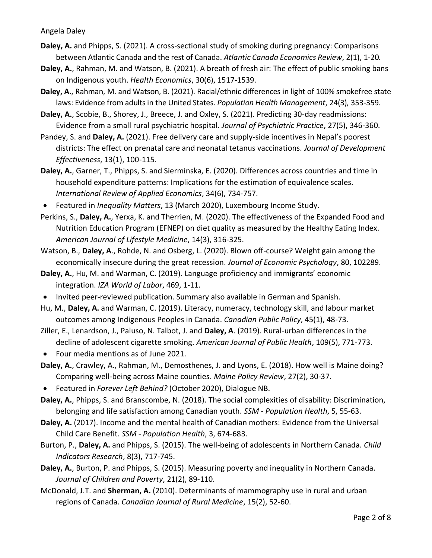- **Daley, A.** and Phipps, S. (2021). A cross-sectional study of smoking during pregnancy: Comparisons between Atlantic Canada and the rest of Canada. *Atlantic Canada Economics Review*, 2(1), 1-20*.*
- **Daley, A.**, Rahman, M. and Watson, B. (2021). A breath of fresh air: The effect of public smoking bans on Indigenous youth. *Health Economics*, 30(6), 1517-1539.
- **Daley, A.**, Rahman, M. and Watson, B. (2021). Racial/ethnic differences in light of 100% smokefree state laws: Evidence from adults in the United States. *Population Health Management*, 24(3), 353-359.
- **Daley, A.**, Scobie, B., Shorey, J., Breece, J. and Oxley, S. (2021). Predicting 30-day readmissions: Evidence from a small rural psychiatric hospital. *Journal of Psychiatric Practice*, 27(5), 346-360.
- Pandey, S. and **Daley, A.** (2021). Free delivery care and supply-side incentives in Nepal's poorest districts: The effect on prenatal care and neonatal tetanus vaccinations*. Journal of Development Effectiveness*, 13(1), 100-115.
- **Daley, A.**, Garner, T., Phipps, S. and Sierminska, E. (2020). Differences across countries and time in household expenditure patterns: Implications for the estimation of equivalence scales. *International Review of Applied Economics*, 34(6), 734-757.
- Featured in *Inequality Matters*, 13 (March 2020), Luxembourg Income Study.
- Perkins, S., **Daley, A.**, Yerxa, K. and Therrien, M. (2020). The effectiveness of the Expanded Food and Nutrition Education Program (EFNEP) on diet quality as measured by the Healthy Eating Index. *American Journal of Lifestyle Medicine*, 14(3), 316-325.
- Watson, B., **Daley, A**., Rohde, N. and Osberg, L. (2020). Blown off-course? Weight gain among the economically insecure during the great recession. *Journal of Economic Psychology*, 80, 102289.
- **Daley, A.**, Hu, M. and Warman, C. (2019). Language proficiency and immigrants' economic integration. *IZA World of Labor*, 469, 1-11.
- Invited peer-reviewed publication. Summary also available in German and Spanish.
- Hu, M., **Daley, A.** and Warman, C. (2019). Literacy, numeracy, technology skill, and labour market outcomes among Indigenous Peoples in Canada. *Canadian Public Policy*, 45(1), 48-73.
- Ziller, E., Lenardson, J., Paluso, N. Talbot, J. and **Daley, A**. (2019). Rural-urban differences in the decline of adolescent cigarette smoking. *American Journal of Public Health*, 109(5), 771-773.
- Four media mentions as of June 2021.
- **Daley, A.**, Crawley, A., Rahman, M., Demosthenes, J. and Lyons, E. (2018). How well is Maine doing? Comparing well-being across Maine counties. *Maine Policy Review*, 27(2), 30-37.
- Featured in *Forever Left Behind?* (October 2020), Dialogue NB.
- **Daley, A.**, Phipps, S. and Branscombe, N. (2018). The social complexities of disability: Discrimination, belonging and life satisfaction among Canadian youth. *SSM - Population Health*, 5, 55-63.
- **Daley, A.** (2017). Income and the mental health of Canadian mothers: Evidence from the Universal Child Care Benefit. *SSM - Population Health*, 3, 674-683.
- Burton, P., **Daley, A.** and Phipps, S. (2015). The well-being of adolescents in Northern Canada. *Child Indicators Research*, 8(3), 717-745.
- **Daley, A.**, Burton, P. and Phipps, S. (2015). Measuring poverty and inequality in Northern Canada. *Journal of Children and Poverty*, 21(2), 89-110.
- McDonald, J.T. and **Sherman, A.** (2010). Determinants of mammography use in rural and urban regions of Canada. *Canadian Journal of Rural Medicine*, 15(2), 52-60.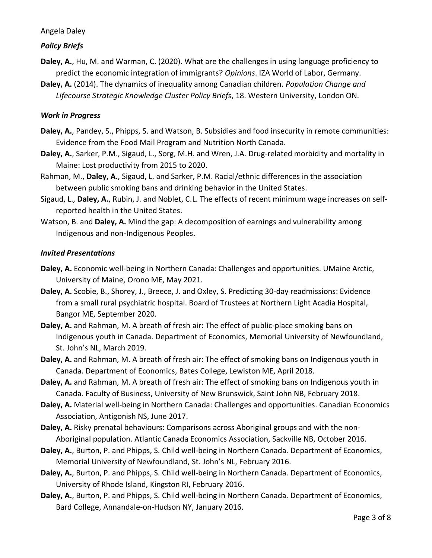# *Policy Briefs*

- **Daley, A.**, Hu, M. and Warman, C. (2020). What are the challenges in using language proficiency to predict the economic integration of immigrants? *Opinions*. IZA World of Labor, Germany.
- **Daley, A.** (2014). The dynamics of inequality among Canadian children. *Population Change and Lifecourse Strategic Knowledge Cluster Policy Briefs*, 18. Western University, London ON.

## *Work in Progress*

- **Daley, A.**, Pandey, S., Phipps, S. and Watson, B. Subsidies and food insecurity in remote communities: Evidence from the Food Mail Program and Nutrition North Canada.
- **Daley, A.**, Sarker, P.M., Sigaud, L., Sorg, M.H. and Wren, J.A. Drug-related morbidity and mortality in Maine: Lost productivity from 2015 to 2020.
- Rahman, M., **Daley, A.**, Sigaud, L. and Sarker, P.M. Racial/ethnic differences in the association between public smoking bans and drinking behavior in the United States.
- Sigaud, L., **Daley, A.**, Rubin, J. and Noblet, C.L. The effects of recent minimum wage increases on selfreported health in the United States.
- Watson, B. and **Daley, A.** Mind the gap: A decomposition of earnings and vulnerability among Indigenous and non-Indigenous Peoples.

## *Invited Presentations*

- **Daley, A.** Economic well-being in Northern Canada: Challenges and opportunities. UMaine Arctic, University of Maine, Orono ME, May 2021.
- **Daley, A.** Scobie, B., Shorey, J., Breece, J. and Oxley, S. Predicting 30-day readmissions: Evidence from a small rural psychiatric hospital. Board of Trustees at Northern Light Acadia Hospital, Bangor ME, September 2020.
- **Daley, A.** and Rahman, M. A breath of fresh air: The effect of public-place smoking bans on Indigenous youth in Canada. Department of Economics, Memorial University of Newfoundland, St. John's NL, March 2019.
- **Daley, A.** and Rahman, M. A breath of fresh air: The effect of smoking bans on Indigenous youth in Canada. Department of Economics, Bates College, Lewiston ME, April 2018.
- **Daley, A.** and Rahman, M. A breath of fresh air: The effect of smoking bans on Indigenous youth in Canada. Faculty of Business, University of New Brunswick, Saint John NB, February 2018.
- **Daley, A.** Material well-being in Northern Canada: Challenges and opportunities. Canadian Economics Association, Antigonish NS, June 2017.
- **Daley, A.** Risky prenatal behaviours: Comparisons across Aboriginal groups and with the non-Aboriginal population. Atlantic Canada Economics Association, Sackville NB, October 2016.
- **Daley, A.**, Burton, P. and Phipps, S. Child well-being in Northern Canada. Department of Economics, Memorial University of Newfoundland, St. John's NL, February 2016.
- **Daley, A.**, Burton, P. and Phipps, S. Child well-being in Northern Canada. Department of Economics, University of Rhode Island, Kingston RI, February 2016.
- **Daley, A.**, Burton, P. and Phipps, S. Child well-being in Northern Canada. Department of Economics, Bard College, Annandale-on-Hudson NY, January 2016.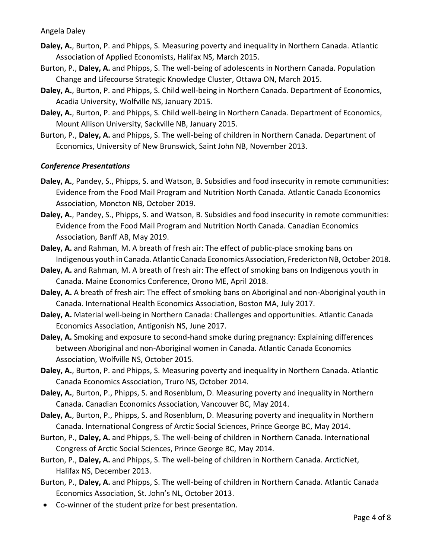- **Daley, A.**, Burton, P. and Phipps, S. Measuring poverty and inequality in Northern Canada. Atlantic Association of Applied Economists, Halifax NS, March 2015.
- Burton, P., **Daley, A.** and Phipps, S. The well-being of adolescents in Northern Canada. Population Change and Lifecourse Strategic Knowledge Cluster, Ottawa ON, March 2015.
- **Daley, A.**, Burton, P. and Phipps, S. Child well-being in Northern Canada. Department of Economics, Acadia University, Wolfville NS, January 2015.
- **Daley, A.**, Burton, P. and Phipps, S. Child well-being in Northern Canada. Department of Economics, Mount Allison University, Sackville NB, January 2015.
- Burton, P., **Daley, A.** and Phipps, S. The well-being of children in Northern Canada. Department of Economics, University of New Brunswick, Saint John NB, November 2013.

## *Conference Presentations*

- **Daley, A.**, Pandey, S., Phipps, S. and Watson, B. Subsidies and food insecurity in remote communities: Evidence from the Food Mail Program and Nutrition North Canada. Atlantic Canada Economics Association, Moncton NB, October 2019.
- **Daley, A.**, Pandey, S., Phipps, S. and Watson, B. Subsidies and food insecurity in remote communities: Evidence from the Food Mail Program and Nutrition North Canada. Canadian Economics Association, Banff AB, May 2019.
- **Daley, A.** and Rahman, M. A breath of fresh air: The effect of public-place smoking bans on Indigenous youth in Canada. Atlantic Canada Economics Association, Fredericton NB, October 2018.
- **Daley, A.** and Rahman, M. A breath of fresh air: The effect of smoking bans on Indigenous youth in Canada. Maine Economics Conference, Orono ME, April 2018.
- **Daley, A.** A breath of fresh air: The effect of smoking bans on Aboriginal and non-Aboriginal youth in Canada. International Health Economics Association, Boston MA, July 2017.
- **Daley, A.** Material well-being in Northern Canada: Challenges and opportunities. Atlantic Canada Economics Association, Antigonish NS, June 2017.
- **Daley, A.** Smoking and exposure to second-hand smoke during pregnancy: Explaining differences between Aboriginal and non-Aboriginal women in Canada. Atlantic Canada Economics Association, Wolfville NS, October 2015.
- **Daley, A.**, Burton, P. and Phipps, S. Measuring poverty and inequality in Northern Canada. Atlantic Canada Economics Association, Truro NS, October 2014.
- **Daley, A.**, Burton, P., Phipps, S. and Rosenblum, D. Measuring poverty and inequality in Northern Canada. Canadian Economics Association, Vancouver BC, May 2014.
- **Daley, A.**, Burton, P., Phipps, S. and Rosenblum, D. Measuring poverty and inequality in Northern Canada. International Congress of Arctic Social Sciences, Prince George BC, May 2014.
- Burton, P., **Daley, A.** and Phipps, S. The well-being of children in Northern Canada. International Congress of Arctic Social Sciences, Prince George BC, May 2014.
- Burton, P., **Daley, A.** and Phipps, S. The well-being of children in Northern Canada. ArcticNet, Halifax NS, December 2013.
- Burton, P., **Daley, A.** and Phipps, S. The well-being of children in Northern Canada. Atlantic Canada Economics Association, St. John's NL, October 2013.
- Co-winner of the student prize for best presentation.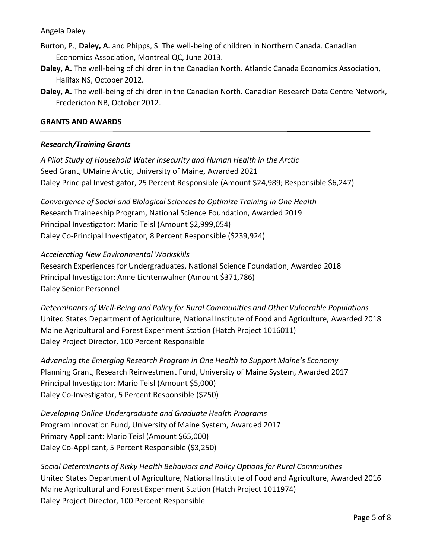- Burton, P., **Daley, A.** and Phipps, S. The well-being of children in Northern Canada. Canadian Economics Association, Montreal QC, June 2013.
- **Daley, A.** The well-being of children in the Canadian North. Atlantic Canada Economics Association, Halifax NS, October 2012.
- **Daley, A.** The well-being of children in the Canadian North. Canadian Research Data Centre Network, Fredericton NB, October 2012.

### **GRANTS AND AWARDS**

## *Research/Training Grants*

*A Pilot Study of Household Water Insecurity and Human Health in the Arctic* Seed Grant, UMaine Arctic, University of Maine, Awarded 2021 Daley Principal Investigator, 25 Percent Responsible (Amount \$24,989; Responsible \$6,247)

*Convergence of Social and Biological Sciences to Optimize Training in One Health* Research Traineeship Program, National Science Foundation, Awarded 2019 Principal Investigator: Mario Teisl (Amount \$2,999,054) Daley Co-Principal Investigator, 8 Percent Responsible (\$239,924)

### *Accelerating New Environmental Workskills*

Research Experiences for Undergraduates, National Science Foundation, Awarded 2018 Principal Investigator: Anne Lichtenwalner (Amount \$371,786) Daley Senior Personnel

*Determinants of Well-Being and Policy for Rural Communities and Other Vulnerable Populations* United States Department of Agriculture, National Institute of Food and Agriculture, Awarded 2018 Maine Agricultural and Forest Experiment Station (Hatch Project 1016011) Daley Project Director, 100 Percent Responsible

*Advancing the Emerging Research Program in One Health to Support Maine's Economy* Planning Grant, Research Reinvestment Fund, University of Maine System, Awarded 2017 Principal Investigator: Mario Teisl (Amount \$5,000) Daley Co-Investigator, 5 Percent Responsible (\$250)

*Developing Online Undergraduate and Graduate Health Programs*  Program Innovation Fund, University of Maine System, Awarded 2017 Primary Applicant: Mario Teisl (Amount \$65,000) Daley Co-Applicant, 5 Percent Responsible (\$3,250)

*Social Determinants of Risky Health Behaviors and Policy Options for Rural Communities* United States Department of Agriculture, National Institute of Food and Agriculture, Awarded 2016 Maine Agricultural and Forest Experiment Station (Hatch Project 1011974) Daley Project Director, 100 Percent Responsible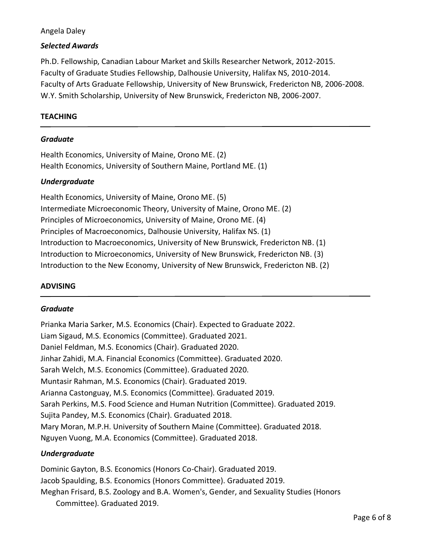## *Selected Awards*

Ph.D. Fellowship, Canadian Labour Market and Skills Researcher Network, 2012-2015. Faculty of Graduate Studies Fellowship, Dalhousie University, Halifax NS, 2010-2014. Faculty of Arts Graduate Fellowship, University of New Brunswick, Fredericton NB, 2006-2008. W.Y. Smith Scholarship, University of New Brunswick, Fredericton NB, 2006-2007.

# **TEACHING**

### *Graduate*

Health Economics, University of Maine, Orono ME. (2) Health Economics, University of Southern Maine, Portland ME. (1)

### *Undergraduate*

Health Economics, University of Maine, Orono ME. (5) Intermediate Microeconomic Theory, University of Maine, Orono ME. (2) Principles of Microeconomics, University of Maine, Orono ME. (4) Principles of Macroeconomics, Dalhousie University, Halifax NS. (1) Introduction to Macroeconomics, University of New Brunswick, Fredericton NB. (1) Introduction to Microeconomics, University of New Brunswick, Fredericton NB. (3) Introduction to the New Economy, University of New Brunswick, Fredericton NB. (2)

## **ADVISING**

#### *Graduate*

Prianka Maria Sarker, M.S. Economics (Chair). Expected to Graduate 2022. Liam Sigaud, M.S. Economics (Committee). Graduated 2021. Daniel Feldman, M.S. Economics (Chair). Graduated 2020. Jinhar Zahidi, M.A. Financial Economics (Committee). Graduated 2020. Sarah Welch, M.S. Economics (Committee). Graduated 2020. Muntasir Rahman, M.S. Economics (Chair). Graduated 2019. Arianna Castonguay, M.S. Economics (Committee). Graduated 2019. Sarah Perkins, M.S. Food Science and Human Nutrition (Committee). Graduated 2019. Sujita Pandey, M.S. Economics (Chair). Graduated 2018. Mary Moran, M.P.H. University of Southern Maine (Committee). Graduated 2018. Nguyen Vuong, M.A. Economics (Committee). Graduated 2018.

## *Undergraduate*

Dominic Gayton, B.S. Economics (Honors Co-Chair). Graduated 2019. Jacob Spaulding, B.S. Economics (Honors Committee). Graduated 2019. Meghan Frisard, B.S. Zoology and B.A. Women's, Gender, and Sexuality Studies (Honors Committee). Graduated 2019.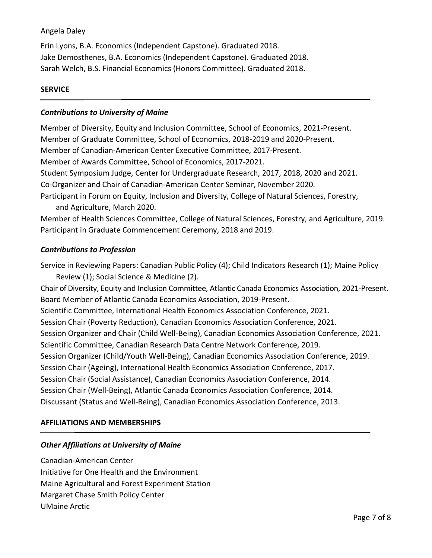Erin Lyons, B.A. Economics (Independent Capstone). Graduated 2018. Jake Demosthenes, B.A. Economics (Independent Capstone). Graduated 2018. Sarah Welch, B.S. Financial Economics (Honors Committee). Graduated 2018.

### **SERVICE**

### *Contributions to University of Maine*

Member of Diversity, Equity and Inclusion Committee, School of Economics, 2021-Present. Member of Graduate Committee, School of Economics, 2018-2019 and 2020-Present. Member of Canadian-American Center Executive Committee, 2017-Present. Member of Awards Committee, School of Economics, 2017-2021. Student Symposium Judge, Center for Undergraduate Research, 2017, 2018, 2020 and 2021. Co-Organizer and Chair of Canadian-American Center Seminar, November 2020. Participant in Forum on Equity, Inclusion and Diversity, College of Natural Sciences, Forestry, and Agriculture, March 2020.

Member of Health Sciences Committee, College of Natural Sciences, Forestry, and Agriculture, 2019. Participant in Graduate Commencement Ceremony, 2018 and 2019.

### *Contributions to Profession*

Service in Reviewing Papers: Canadian Public Policy (4); Child Indicators Research (1); Maine Policy Review (1); Social Science & Medicine (2). Chair of Diversity, Equity and Inclusion Committee, Atlantic Canada Economics Association, 2021-Present. Board Member of Atlantic Canada Economics Association, 2019-Present. Scientific Committee, International Health Economics Association Conference, 2021. Session Chair (Poverty Reduction), Canadian Economics Association Conference, 2021. Session Organizer and Chair (Child Well-Being), Canadian Economics Association Conference, 2021. Scientific Committee, Canadian Research Data Centre Network Conference, 2019.

Session Organizer (Child/Youth Well-Being), Canadian Economics Association Conference, 2019.

Session Chair (Ageing), International Health Economics Association Conference, 2017.

Session Chair (Social Assistance), Canadian Economics Association Conference, 2014.

Session Chair (Well-Being), Atlantic Canada Economics Association Conference, 2014.

Discussant (Status and Well-Being), Canadian Economics Association Conference, 2013.

## **AFFILIATIONS AND MEMBERSHIPS**

## *Other Affiliations at University of Maine*

Canadian-American Center Initiative for One Health and the Environment Maine Agricultural and Forest Experiment Station Margaret Chase Smith Policy Center UMaine Arctic